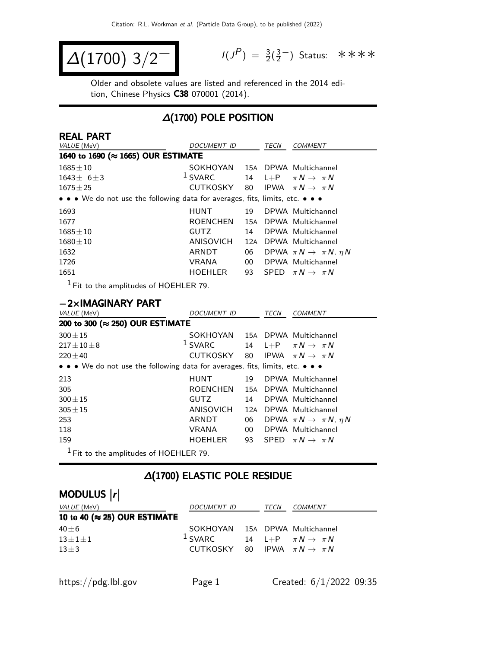$$
\Delta(1700) 3/2^{-1}
$$

 $P$ ) =  $\frac{3}{2}(\frac{3}{2})$  $\frac{3}{2}$  Status: \*\*\*\*

Older and obsolete values are listed and referenced in the 2014 edition, Chinese Physics C38 070001 (2014).

# ∆(1700) POLE POSITION

| <b>REAL PART</b><br>VALUE (MeV)                                               | DOCUMENT ID     |     | TECN | <b>COMMENT</b>                            |
|-------------------------------------------------------------------------------|-----------------|-----|------|-------------------------------------------|
| 1640 to 1690 (≈ 1665) OUR ESTIMATE                                            |                 |     |      |                                           |
| $1685 \pm 10$                                                                 | SOKHOYAN        |     |      | 15A DPWA Multichannel                     |
| $1643 \pm 6 \pm 3$                                                            | $1$ SVARC       |     |      | 14 L+P $\pi N \rightarrow \pi N$          |
| $1675 \pm 25$                                                                 | CUTKOSKY        | 80  |      | IPWA $\pi N \rightarrow \pi N$            |
| • • • We do not use the following data for averages, fits, limits, etc. • • • |                 |     |      |                                           |
| 1693                                                                          | <b>HUNT</b>     | 19  |      | DPWA Multichannel                         |
| 1677                                                                          | <b>ROENCHEN</b> |     |      | 15A DPWA Multichannel                     |
| $1685 \pm 10$                                                                 | <b>GUTZ</b>     | 14  |      | DPWA Multichannel                         |
| $1680 \pm 10$                                                                 | ANISOVICH       | 12A |      | DPWA Multichannel                         |
| 1632                                                                          | ARNDT           | 06  |      | DPWA $\pi N \rightarrow \pi N$ , $\eta N$ |
| 1726                                                                          | <b>VRANA</b>    | 00  |      | DPWA Multichannel                         |
| 1651                                                                          | <b>HOEHLER</b>  | 93  |      | SPED $\pi N \rightarrow \pi N$            |
| $1 - 1$                                                                       |                 |     |      |                                           |

1 Fit to the amplitudes of HOEHLER 79.

### −2×IMAGINARY PART

| VALUE (MeV)                                                                   | <b>DOCUMENT ID</b>              |     | TECN | <b>COMMENT</b>                            |  |  |  |  |  |
|-------------------------------------------------------------------------------|---------------------------------|-----|------|-------------------------------------------|--|--|--|--|--|
|                                                                               | 200 to 300 (≈ 250) OUR ESTIMATE |     |      |                                           |  |  |  |  |  |
| $300 \pm 15$                                                                  | SOKHOYAN                        |     |      | 15A DPWA Multichannel                     |  |  |  |  |  |
| $217 \pm 10 \pm 8$                                                            | $1$ SVARC                       | 14  |      | L+P $\pi N \rightarrow \pi N$             |  |  |  |  |  |
| $220 \pm 40$                                                                  | CUTKOSKY 80                     |     |      | IPWA $\pi N \rightarrow \pi N$            |  |  |  |  |  |
| • • • We do not use the following data for averages, fits, limits, etc. • • • |                                 |     |      |                                           |  |  |  |  |  |
| 213                                                                           | <b>HUNT</b>                     | 19  |      | DPWA Multichannel                         |  |  |  |  |  |
| 305                                                                           | <b>ROENCHEN</b>                 | 15A |      | DPWA Multichannel                         |  |  |  |  |  |
| $300 \pm 15$                                                                  | <b>GUTZ</b>                     | 14  |      | DPWA Multichannel                         |  |  |  |  |  |
| $305 \pm 15$                                                                  | ANISOVICH                       | 12A |      | DPWA Multichannel                         |  |  |  |  |  |
| 253                                                                           | ARNDT                           | 06  |      | DPWA $\pi N \rightarrow \pi N$ , $\eta N$ |  |  |  |  |  |
| 118                                                                           | <b>VRANA</b>                    | 00  |      | DPWA Multichannel                         |  |  |  |  |  |
| 159                                                                           | <b>HOEHLER</b>                  | 93  |      | SPED $\pi N \rightarrow \pi N$            |  |  |  |  |  |
| $1$ Fit to the amplitudes of HOEHLER 79.                                      |                                 |     |      |                                           |  |  |  |  |  |

### ∆(1700) ELASTIC POLE RESIDUE

# MODULUS |r|

| <i>VALUE</i> (MeV)                    | <i>DOCUMENT ID</i>                         | TECN | <i>COMMENT</i>                   |
|---------------------------------------|--------------------------------------------|------|----------------------------------|
| 10 to 40 ( $\approx$ 25) OUR ESTIMATE |                                            |      |                                  |
| $40\pm 6$                             | SOKHOYAN 15A DPWA Multichannel             |      |                                  |
| $13 \pm 1 \pm 1$                      | $1$ SVARC                                  |      | 14 L+P $\pi N \rightarrow \pi N$ |
| $13\pm3$                              | CUTKOSKY 80 IPWA $\pi N \rightarrow \pi N$ |      |                                  |
|                                       |                                            |      |                                  |
|                                       |                                            |      |                                  |

https://pdg.lbl.gov Page 1 Created: 6/1/2022 09:35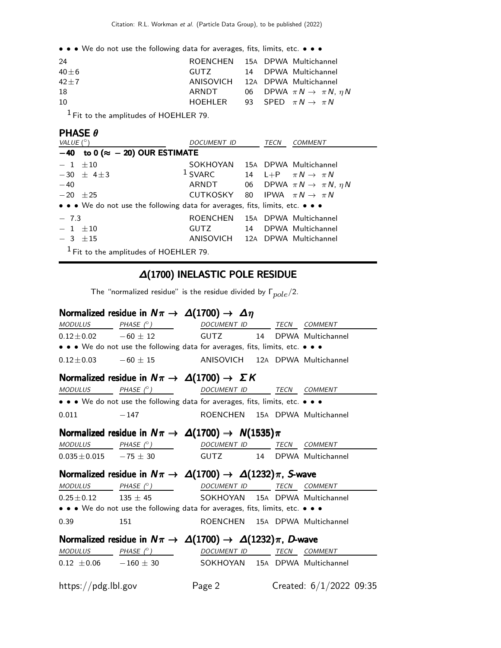| 24       | ROENCHEN 15A DPWA Multichannel            |  |                                              |
|----------|-------------------------------------------|--|----------------------------------------------|
| $40 + 6$ | GUTZ CONT                                 |  | 14 DPWA Multichannel                         |
| $42 + 7$ | ANISOVICH 12A DPWA Multichannel           |  |                                              |
| -18      | ARNDT                                     |  | 06 DPWA $\pi N \rightarrow \pi N$ , $\eta N$ |
| 10       | HOEHLER 93 SPED $\pi N \rightarrow \pi N$ |  |                                              |
|          |                                           |  |                                              |

 $<sup>1</sup>$  Fit to the amplitudes of HOEHLER 79.</sup>

### PHASE θ

| VALUE $(^\circ)$                                                              | <i>DOCUMENT ID</i>                         |  | TECN | <b>COMMENT</b>                               |  |  |  |
|-------------------------------------------------------------------------------|--------------------------------------------|--|------|----------------------------------------------|--|--|--|
| $-40$ to 0 ( $\approx -20$ ) OUR ESTIMATE                                     |                                            |  |      |                                              |  |  |  |
| $-1$ $\pm 10$                                                                 | SOKHOYAN 15A DPWA Multichannel             |  |      |                                              |  |  |  |
| $-30 + 4 + 3$                                                                 | $1$ SVARC                                  |  |      | 14 L+P $\pi N \rightarrow \pi N$             |  |  |  |
| $-40$                                                                         | ARNDT                                      |  |      | 06 DPWA $\pi N \rightarrow \pi N$ , $\eta N$ |  |  |  |
| $-20 \pm 25$                                                                  | CUTKOSKY 80 IPWA $\pi N \rightarrow \pi N$ |  |      |                                              |  |  |  |
| • • • We do not use the following data for averages, fits, limits, etc. • • • |                                            |  |      |                                              |  |  |  |
| $-7.3$                                                                        | ROENCHEN 15A DPWA Multichannel             |  |      |                                              |  |  |  |
| $-1$ $\pm 10$                                                                 | <b>GUTZ</b>                                |  |      | 14 DPWA Multichannel                         |  |  |  |
| $-3$ $\pm 15$                                                                 | ANISOVICH 12A DPWA Multichannel            |  |      |                                              |  |  |  |
| $1$ Fit to the amplitudes of HOEHLER 79.                                      |                                            |  |      |                                              |  |  |  |

### ∆(1700) INELASTIC POLE RESIDUE

The "normalized residue" is the residue divided by  $\Gamma_{pole}/2$ .

### Normalized residue in  $N\pi \to \Delta(1700) \to \Delta\eta$

|                                                                                                                                                                                                                                          | $\begin{array}{ccccccccc} \textit{MODULUS} & \textit{PHASE}& \texttt{?} & \textit{OOCUMENT ID} & \textit{TECN} & \textit{COMMENT} \end{array}$                                                                                                                                                                                                                                                                                          |                                |  |                           |
|------------------------------------------------------------------------------------------------------------------------------------------------------------------------------------------------------------------------------------------|-----------------------------------------------------------------------------------------------------------------------------------------------------------------------------------------------------------------------------------------------------------------------------------------------------------------------------------------------------------------------------------------------------------------------------------------|--------------------------------|--|---------------------------|
|                                                                                                                                                                                                                                          | $0.12 \pm 0.02$ $-60 \pm 12$ GUTZ 14 DPWA Multichannel                                                                                                                                                                                                                                                                                                                                                                                  |                                |  |                           |
|                                                                                                                                                                                                                                          | • • • We do not use the following data for averages, fits, limits, etc. • • •                                                                                                                                                                                                                                                                                                                                                           |                                |  |                           |
|                                                                                                                                                                                                                                          | $0.12 \pm 0.03$ $-60 \pm 15$ ANISOVICH 12A DPWA Multichannel                                                                                                                                                                                                                                                                                                                                                                            |                                |  |                           |
|                                                                                                                                                                                                                                          | Normalized residue in $N\pi \rightarrow \Delta(1700) \rightarrow \Sigma K$                                                                                                                                                                                                                                                                                                                                                              |                                |  |                           |
|                                                                                                                                                                                                                                          | $\begin{array}{ccccccccc} \textit{MODULUS} & \hspace{1.5cm} & \textit{PHASE}& \textcircled{^{\circ}} & \hspace{1.5cm} & \textit{DOCUMENT} & \textit{ID} & \hspace{1.5cm} & \textit{TECN} & \hspace{1.5cm} & \textit{COMMENT} & \end{array}$                                                                                                                                                                                             |                                |  |                           |
|                                                                                                                                                                                                                                          | • • • We do not use the following data for averages, fits, limits, etc. • • •                                                                                                                                                                                                                                                                                                                                                           |                                |  |                           |
| $0.011 - 147$                                                                                                                                                                                                                            |                                                                                                                                                                                                                                                                                                                                                                                                                                         | ROENCHEN 15A DPWA Multichannel |  |                           |
|                                                                                                                                                                                                                                          | Normalized residue in $N\pi \to \Delta(1700) \to N(1535)\pi$                                                                                                                                                                                                                                                                                                                                                                            |                                |  |                           |
|                                                                                                                                                                                                                                          | $\begin{array}{ccccccccc} \textit{MODULUS} & \textit{PHASE} & \textit{O} & \textit{O} & \textit{O} & \textit{O} & \textit{O} & \textit{O} & \textit{O} & \textit{O} & \textit{O} & \textit{M} & \textit{M} & \textit{M} & \textit{M} & \textit{M} & \textit{M} & \textit{M} & \textit{M} & \textit{M} & \textit{M} & \textit{M} & \textit{M} & \textit{M} & \textit{M} & \textit{M} & \textit{M} & \textit{M} & \textit{M} & \textit{M$ |                                |  |                           |
|                                                                                                                                                                                                                                          | $0.035 \pm 0.015$ $-75 \pm 30$ GUTZ 14 DPWA Multichannel                                                                                                                                                                                                                                                                                                                                                                                |                                |  |                           |
|                                                                                                                                                                                                                                          | Normalized residue in $N\pi \to \Delta(1700) \to \Delta(1232)\pi$ , S-wave                                                                                                                                                                                                                                                                                                                                                              |                                |  |                           |
|                                                                                                                                                                                                                                          | <u>MODULUS</u> PHASE (°)                                                                                                                                                                                                                                                                                                                                                                                                                | DOCUMENT ID TECN COMMENT       |  |                           |
|                                                                                                                                                                                                                                          | $0.25 \pm 0.12$ 135 $\pm$ 45 SOKHOYAN 15A DPWA Multichannel                                                                                                                                                                                                                                                                                                                                                                             |                                |  |                           |
|                                                                                                                                                                                                                                          | • • • We do not use the following data for averages, fits, limits, etc. • • •                                                                                                                                                                                                                                                                                                                                                           |                                |  |                           |
| 0.39                                                                                                                                                                                                                                     | 151                                                                                                                                                                                                                                                                                                                                                                                                                                     | ROENCHEN 15A DPWA Multichannel |  |                           |
|                                                                                                                                                                                                                                          | Normalized residue in $N\pi \to \Delta(1700) \to \Delta(1232)\pi$ , D-wave                                                                                                                                                                                                                                                                                                                                                              |                                |  |                           |
| $\begin{array}{ccccccccc} \textit{MODULUS} & \hspace{1.5cm} & \textit{PHASE}& \textcircled{?} & \hspace{1.5cm} & \textit{DOCUMENT ID} & \hspace{1.5cm} & \textit{TECN} & \hspace{1.5cm} & \textit{COMMENT} & \hspace{1.5cm} \end{array}$ |                                                                                                                                                                                                                                                                                                                                                                                                                                         |                                |  |                           |
|                                                                                                                                                                                                                                          |                                                                                                                                                                                                                                                                                                                                                                                                                                         |                                |  |                           |
|                                                                                                                                                                                                                                          | $0.12 \pm 0.06$ - $160 \pm 30$ SOKHOYAN 15A DPWA Multichannel                                                                                                                                                                                                                                                                                                                                                                           |                                |  |                           |
| https://pdg.lbl.gov                                                                                                                                                                                                                      | Page 2                                                                                                                                                                                                                                                                                                                                                                                                                                  |                                |  | Created: $6/1/2022$ 09:35 |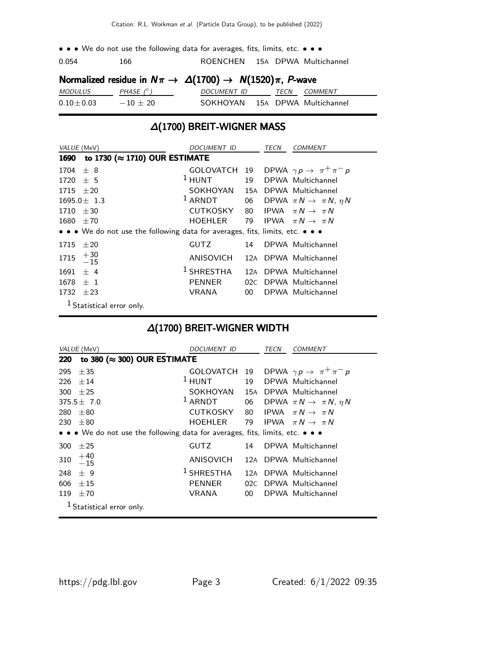.054 166 ROENCHEN 15A DPWA Multichannel

### Normalized residue in  $N\pi \rightarrow \Delta(1700) \rightarrow N(1520)\pi$ , P-wave

| <i>MODULUS</i>  | PHASE (° ) | <i>DOCUMENT ID</i> | TFCN | <i>COMMENT</i>        |
|-----------------|------------|--------------------|------|-----------------------|
| $0.10 \pm 0.03$ | $-10 + 20$ | SOKHOYAN           |      | 15A DPWA Multichannel |

### ∆(1700) BREIT-WIGNER MASS

| VALUE (MeV)   |                                                                               | DOCUMENT ID                            |        | TECN | <b>COMMENT</b>                                         |
|---------------|-------------------------------------------------------------------------------|----------------------------------------|--------|------|--------------------------------------------------------|
|               | 1690 to 1730 (≈ 1710) OUR ESTIMATE                                            |                                        |        |      |                                                        |
| $1704 \pm 8$  |                                                                               |                                        |        |      | GOLOVATCH 19 DPWA $\gamma p \rightarrow \pi^+ \pi^- p$ |
| $1720 \pm 5$  |                                                                               | <sup>1</sup> HUNT 19 DPWA Multichannel |        |      |                                                        |
| $1715 \pm 20$ |                                                                               | SOKHOYAN 15A DPWA Multichannel         |        |      |                                                        |
|               | $1695.0 \pm 1.3$                                                              | $1$ ARNDT                              |        |      | 06 DPWA $\pi N \rightarrow \pi N$ , $\eta N$           |
| $1710 \pm 30$ |                                                                               | CUTKOSKY                               |        |      | 80 IPWA $\pi N \rightarrow \pi N$                      |
| $1680 \pm 70$ |                                                                               | HOEHLER                                |        |      | 79 IPWA $\pi N \rightarrow \pi N$                      |
|               | • • • We do not use the following data for averages, fits, limits, etc. • • • |                                        |        |      |                                                        |
| $1715 \pm 20$ |                                                                               | <b>GUTZ</b>                            | 14     |      | DPWA Multichannel                                      |
| 1715          | $+30$<br>$-15$                                                                | ANISOVICH                              |        |      | 12A DPWA Multichannel                                  |
| 1691          | $+4$                                                                          | $^1$ SHRESTHA                          |        |      | 12A DPWA Multichannel                                  |
| $1678 \pm 1$  |                                                                               | <b>PENNER</b>                          |        |      | 02C DPWA Multichannel                                  |
| 1732 $\pm 23$ |                                                                               | VRANA                                  | $00-1$ |      | DPWA Multichannel                                      |
|               | $1 \sim 1$ . The set of $\sim 1$                                              |                                        |        |      |                                                        |

Statistical error only.

### ∆(1700) BREIT-WIGNER WIDTH

| VALUE (MeV)                                                                   | DOCUMENT ID                          |                 | TECN | <b>COMMENT</b>                               |  |  |  |
|-------------------------------------------------------------------------------|--------------------------------------|-----------------|------|----------------------------------------------|--|--|--|
| 220                                                                           | to 380 ( $\approx$ 300) OUR ESTIMATE |                 |      |                                              |  |  |  |
| $+35$<br>295                                                                  | GOLOVATCH 19                         |                 |      | DPWA $\gamma p \rightarrow \pi^+ \pi^- p$    |  |  |  |
| $+14$<br>226                                                                  | $1$ HUNT                             | 19              |      | DPWA Multichannel                            |  |  |  |
| 300 $\pm 25$                                                                  | SOKHOYAN 15A DPWA Multichannel       |                 |      |                                              |  |  |  |
| $375.5 \pm 7.0$                                                               | $1$ ARNDT                            |                 |      | 06 DPWA $\pi N \rightarrow \pi N$ , $\eta N$ |  |  |  |
| 280<br>$+80$                                                                  | CUTKOSKY                             | 80              |      | IPWA $\pi N \rightarrow \pi N$               |  |  |  |
| $\pm80$<br>230                                                                | HOEHLER                              | 79              |      | IPWA $\pi N \rightarrow \pi N$               |  |  |  |
| • • • We do not use the following data for averages, fits, limits, etc. • • • |                                      |                 |      |                                              |  |  |  |
| $+25$<br>300                                                                  | <b>GUTZ</b>                          | 14              |      | DPWA Multichannel                            |  |  |  |
| $^{+40}_{-15}$<br>310                                                         | ANISOVICH                            |                 |      | 12A DPWA Multichannel                        |  |  |  |
| 248<br>$+9$                                                                   | $1$ SHRESTHA                         |                 |      | 12A DPWA Multichannel                        |  |  |  |
| 606<br>$+15$                                                                  | <b>PENNER</b>                        | 02C             |      | DPWA Multichannel                            |  |  |  |
| 119<br>±70                                                                    | VRANA                                | 00 <sup>1</sup> |      | DPWA Multichannel                            |  |  |  |
| <sup>1</sup> Statistical error only.                                          |                                      |                 |      |                                              |  |  |  |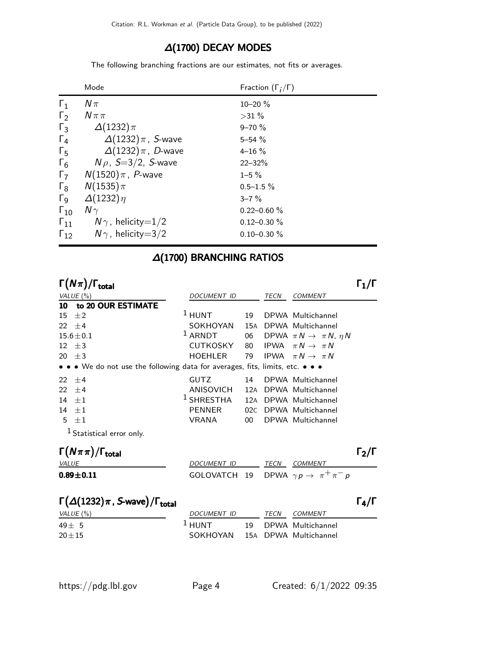### ∆(1700) DECAY MODES

The following branching fractions are our estimates, not fits or averages.

|                       | Mode                       | Fraction $(\Gamma_i/\Gamma)$ |
|-----------------------|----------------------------|------------------------------|
| $\Gamma_1$            | $N\pi$                     | $10 - 20 \%$                 |
| $\Gamma_2$            | $N\pi\pi$                  | $>31\%$                      |
| $\Gamma_3$            | $\Delta(1232)\pi$          | $9 - 70 \%$                  |
| $\Gamma_4$            | $\Delta(1232)\pi$ , S-wave | $5 - 54 \%$                  |
| $\Gamma_5$            | $\Delta(1232)\pi$ , D-wave | $4 - 16 \%$                  |
| $\Gamma_6$            | $N\rho$ , S=3/2, S-wave    | $22 - 32%$                   |
| $\Gamma_7$            | $N(1520)\pi$ , P-wave      | $1 - 5 \%$                   |
| $\Gamma_8$            | $N(1535)\pi$               | $0.5 - 1.5 \%$               |
| $\Gamma$ <sub>9</sub> | $\Delta(1232)\eta$         | $3 - 7\%$                    |
| $\Gamma_{10}$         | $N\gamma$                  | $0.22 - 0.60 \%$             |
| $\Gamma_{11}$         | $N\gamma$ , helicity=1/2   | $0.12 - 0.30 \%$             |
| $\Gamma_{12}$         | $N\gamma$ , helicity=3/2   | $0.10 - 0.30 \%$             |

### ∆(1700) BRANCHING RATIOS

Γ $(N\pi)/\Gamma_{\rm total}$ )/Γ<sub>total</sub> Γ<sub>1</sub>/Γ VALUE (%)  $DOCUMENT$  ID TECN COMMENT 10 to 20 OUR ESTIMATE 15  $\pm 2$ <sup>1</sup> HUNT 19 DPWA Multichannel  $22 \pm 4$ <br>15.6 $\pm$ 0.1 SOKHOYAN 15A DPWA Multichannel<br>14.8 ARNDT 06 DPWA  $\pi N \rightarrow \pi N$ , 15.6±0.1 06 DPWA  $\pi N \rightarrow \pi N$ ,  $\eta N$ 12  $\pm$ 3 CUTKOSKY 80 IPWA  $\pi N \rightarrow \pi N$ 20  $\pm$ 3 HOEHLER 79 IPWA  $\pi N \rightarrow \pi N$ • • • We do not use the following data for averages, fits, limits, etc. • • • 22 ±4 GUTZ 14 DPWA Multichannel 22  $\pm$ 4 ANISOVICH 12A DPWA Multichannel 14  $\pm 1$ <sup>1</sup> SHRESTHA 12A DPWA Multichannel 14 ±1 PENNER 02C DPWA Multichannel 5  $\pm 1$  VRANA 00 DPWA Multichannel 1 Statistical error only.  $\Gamma(N\pi\pi)/\Gamma_{\rm total}$  π VALUE DOCUMENT ID TECN COMMENT **0.89±0.11** GOLOVATCH 19 DPWA  $\gamma p \to \pi^+ \pi^- p$ 

| $\Gamma(\Delta(1232)\pi, S$ -wave)/ $\Gamma_{\text{total}}$ |                                |      |                      | $\Gamma_{4}/\Gamma$ |
|-------------------------------------------------------------|--------------------------------|------|----------------------|---------------------|
| VALUE (%)                                                   | <i>DOCUMENT ID</i>             | TECN | <i>COMMENT</i>       |                     |
| $49 + 5$                                                    | $1$ HUNT                       |      | 19 DPWA Multichannel |                     |
| $20 + 15$                                                   | SOKHOYAN 15A DPWA Multichannel |      |                      |                     |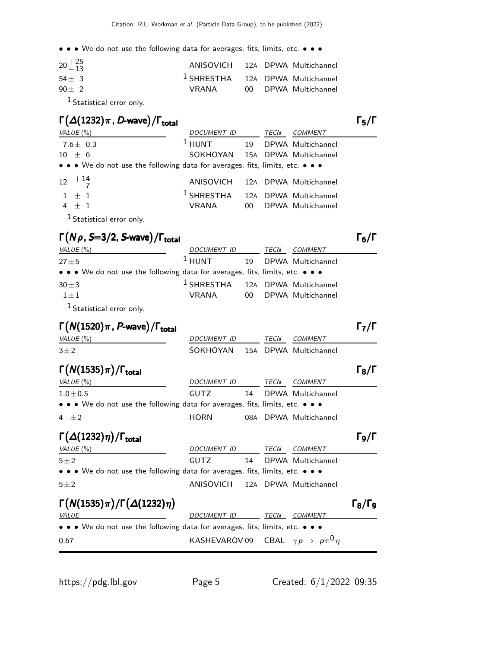| $20 + \frac{25}{13}$ | ANISOVICH 12A DPWA Multichannel      |  |                      |
|----------------------|--------------------------------------|--|----------------------|
| $54 + 3$             | $1$ SHRESTHA $12A$ DPWA Multichannel |  |                      |
| $90 + 2$             | VRANA                                |  | 00 DPWA Multichannel |
|                      |                                      |  |                      |

1 Statistical error only.

### $\Gamma(\Delta(1232)\pi$  , D-wave) / Γ<sub>total</sub> Γ<sub>5</sub>/Γ total and  $\overline{5}/1$

| VALUE (%)                                                                     | DOCUMENT ID                                 |    | TECN | <i>COMMENT</i>    |  |
|-------------------------------------------------------------------------------|---------------------------------------------|----|------|-------------------|--|
| $7.6\pm$ 0.3                                                                  | $1$ HUNT                                    | 19 |      | DPWA Multichannel |  |
| $10 \pm 6$                                                                    | SOKHOYAN 15A DPWA Multichannel              |    |      |                   |  |
| • • • We do not use the following data for averages, fits, limits, etc. • • • |                                             |    |      |                   |  |
| $12 \begin{array}{c} +14 \\ -7 \end{array}$                                   | ANISOVICH 12A DPWA Multichannel             |    |      |                   |  |
| $1 \pm 1$                                                                     | <sup>1</sup> SHRESTHA 12A DPWA Multichannel |    |      |                   |  |
| $4 \pm 1$                                                                     | VRANA                                       | 00 |      | DPWA Multichannel |  |
| $10$ $\ldots$                                                                 |                                             |    |      |                   |  |

<sup>1</sup> Statistical error only.

## $\Gamma(N \rho, S=3/2, S$ -wave $)/\Gamma_{\text{total}}$  6/Γ

| VALUE (%)                                                                     | DOCUMENT ID                                 | TECN | <i>COMMENT</i>       |
|-------------------------------------------------------------------------------|---------------------------------------------|------|----------------------|
| $27 + 5$                                                                      | $1$ HUNT                                    |      | 19 DPWA Multichannel |
| • • • We do not use the following data for averages, fits, limits, etc. • • • |                                             |      |                      |
| $30\pm3$                                                                      | <sup>1</sup> SHRESTHA 12A DPWA Multichannel |      |                      |
| $1 + 1$                                                                       | VRANA                                       |      | 00 DPWA Multichannel |
| <sup>1</sup> Statistical error only.                                          |                                             |      |                      |

| $\Gamma(N(1520)\pi, P$ -wave)/ $\Gamma_{\text{total}}$                                                                               |                    |    |             |                                          | Г $_{\rm 7}/$ Г     |
|--------------------------------------------------------------------------------------------------------------------------------------|--------------------|----|-------------|------------------------------------------|---------------------|
| VALUE $(\%)$                                                                                                                         | DOCUMENT ID        |    | <b>TECN</b> | <b>COMMENT</b>                           |                     |
| $3\pm2$                                                                                                                              | SOKHOYAN           |    |             | 15A DPWA Multichannel                    |                     |
| $\Gamma(N(1535)\pi)/\Gamma_{\rm total}$                                                                                              |                    |    |             |                                          | $\Gamma_8/\Gamma$   |
| VALUE(%)                                                                                                                             | <i>DOCUMENT ID</i> |    | TECN        | <b>COMMENT</b>                           |                     |
| $1.0 \pm 0.5$                                                                                                                        | <b>GUTZ</b>        | 14 |             | DPWA Multichannel                        |                     |
| $\bullet\,\bullet\,\bullet\,$ We do not use the following data for averages, fits, limits, etc. $\bullet\,\bullet\,\bullet\,\bullet$ |                    |    |             |                                          |                     |
| $4 + 2$                                                                                                                              | <b>HORN</b>        |    |             | 08A DPWA Multichannel                    |                     |
| $\Gamma(\Delta(1232)\eta)/\Gamma_{\rm total}$                                                                                        |                    |    |             |                                          | Го/Г                |
| VALUE $(\%)$                                                                                                                         | DOCUMENT ID        |    | <b>TECN</b> | <b>COMMENT</b>                           |                     |
| $5\pm2$                                                                                                                              | <b>GUTZ</b>        | 14 |             | DPWA Multichannel                        |                     |
| • • • We do not use the following data for averages, fits, limits, etc. • • •                                                        |                    |    |             |                                          |                     |
| $5 \pm 2$                                                                                                                            | ANISOVICH          |    |             | 12A DPWA Multichannel                    |                     |
| $\Gamma(N(1535)\pi)/\Gamma(\Delta(1232)\eta)$                                                                                        |                    |    |             |                                          | $\Gamma_8/\Gamma_9$ |
| VALUE                                                                                                                                | DOCUMENT ID        |    | TECN        | <b>COMMENT</b>                           |                     |
| • • • We do not use the following data for averages, fits, limits, etc. • • •                                                        |                    |    |             |                                          |                     |
| 0.67                                                                                                                                 | KASHEVAROV 09      |    |             | CBAL $\gamma p \rightarrow p \pi^0 \eta$ |                     |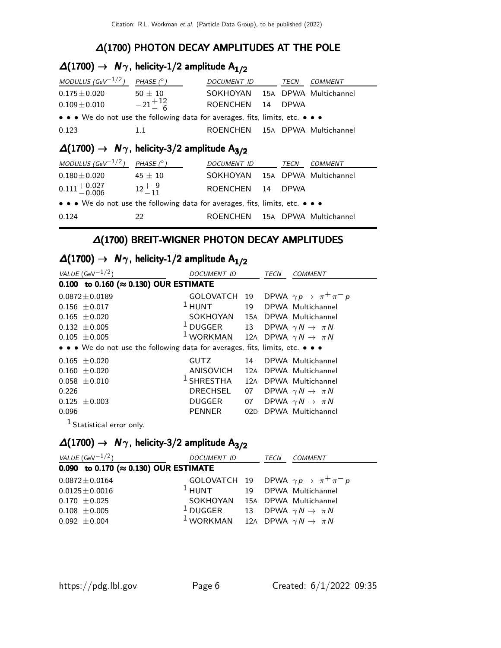### ∆(1700) PHOTON DECAY AMPLITUDES AT THE POLE

# $\Delta(1700)$  →  $N\gamma$ , helicity-1/2 amplitude  $A_{1/2}$

| MODULUS (GeV $^{-1/2}$ )                                                      | PHASE $(^\circ)$     | DOCUMENT ID                    | TECN        | COMMENT               |
|-------------------------------------------------------------------------------|----------------------|--------------------------------|-------------|-----------------------|
| $0.175 \pm 0.020$                                                             | $50 \pm 10$          | SOKHOYAN                       |             | 15A DPWA Multichannel |
| $0.109 \pm 0.010$                                                             | $-21 + {}^{12}_{-6}$ | ROENCHEN 14                    | <b>DPWA</b> |                       |
| • • • We do not use the following data for averages, fits, limits, etc. • • • |                      |                                |             |                       |
| 0.123                                                                         | 11                   | ROENCHEN 15A DPWA Multichannel |             |                       |

# $\Delta(1700)$  →  $N_{\gamma}$ , helicity-3/2 amplitude A<sub>3/2</sub>

| MODULUS (GeV $^{-1/2}$ )                                                      | PHASE $(^\circ)$   | DOCUMENT ID                    | TECN        | COMMENT               |
|-------------------------------------------------------------------------------|--------------------|--------------------------------|-------------|-----------------------|
| $0.180\pm0.020$                                                               | $45 \pm 10$        | SOKHOYAN                       |             | 15A DPWA Multichannel |
| $0.111 + 0.027$<br>$-0.006$                                                   | $12^{+}$ , $9^{0}$ | ROENCHEN 14                    | <b>DPWA</b> |                       |
| • • • We do not use the following data for averages, fits, limits, etc. • • • |                    |                                |             |                       |
| 0.124                                                                         | 22                 | ROENCHEN 15A DPWA Multichannel |             |                       |

# ∆(1700) BREIT-WIGNER PHOTON DECAY AMPLITUDES

|  | $\Delta(1700) \rightarrow N\gamma$ , helicity-1/2 amplitude A <sub>1/2</sub> |  |
|--|------------------------------------------------------------------------------|--|
|--|------------------------------------------------------------------------------|--|

| VALUE (GeV $^{-1/2}$ )                                                        | DOCUMENT ID                                        |     | TECN | COMMENT                                                |
|-------------------------------------------------------------------------------|----------------------------------------------------|-----|------|--------------------------------------------------------|
| 0.100 to 0.160 ( $\approx$ 0.130) OUR ESTIMATE                                |                                                    |     |      |                                                        |
| $0.0872 \pm 0.0189$                                                           |                                                    |     |      | GOLOVATCH 19 DPWA $\gamma p \rightarrow \pi^+ \pi^- p$ |
| $0.156 \pm 0.017$                                                             | $1$ HUNT                                           |     |      | 19 DPWA Multichannel                                   |
| $0.165 \pm 0.020$                                                             | SOKHOYAN                                           |     |      | 15A DPWA Multichannel                                  |
| $0.132 \pm 0.005$                                                             | <sup>1</sup> DUGGER 13 DPWA $\gamma N \to \pi N$   |     |      |                                                        |
| $0.105 \pm 0.005$                                                             | <sup>1</sup> WORKMAN 12A DPWA $\gamma N \to \pi N$ |     |      |                                                        |
| • • • We do not use the following data for averages, fits, limits, etc. • • • |                                                    |     |      |                                                        |
| $0.165 \pm 0.020$                                                             | <b>GUTZ</b>                                        |     |      | 14 DPWA Multichannel                                   |
| $0.160 \pm 0.020$                                                             | ANISOVICH                                          | 12A |      | DPWA Multichannel                                      |
| $0.058 \pm 0.010$                                                             | $1$ SHRESTHA 12A                                   |     |      | DPWA Multichannel                                      |
| 0.226                                                                         | DRECHSEL                                           | 07  |      | DPWA $\gamma N \rightarrow \pi N$                      |
| $0.125 \pm 0.003$                                                             | DUGGER                                             |     |      | 07 DPWA $\gamma N \rightarrow \pi N$                   |
| 0.096                                                                         | PENNER                                             | 02D |      | DPWA Multichannel                                      |
|                                                                               |                                                    |     |      |                                                        |

<sup>1</sup> Statistical error only.

# $\Delta(1700)$  →  $N\gamma$ , helicity-3/2 amplitude  $A_{3/2}$

| <i>VALUE</i> (GeV $^{-1/2}$ )                  | DOCUMENT ID                                                |  | <i>TECN COMMENT</i>                                    |
|------------------------------------------------|------------------------------------------------------------|--|--------------------------------------------------------|
| 0.090 to 0.170 ( $\approx$ 0.130) OUR ESTIMATE |                                                            |  |                                                        |
| $0.0872 \pm 0.0164$                            |                                                            |  | GOLOVATCH 19 DPWA $\gamma p \rightarrow \pi^+ \pi^- p$ |
| $0.0125 \pm 0.0016$                            | <sup>1</sup> HUNT 19 DPWA Multichannel                     |  |                                                        |
| $0.170 \pm 0.025$                              | SOKHOYAN 15A DPWA Multichannel                             |  |                                                        |
| $0.108 \pm 0.005$                              | <sup>1</sup> DUGGER 13 DPWA $\gamma N \to \pi N$           |  |                                                        |
| $0.092 \pm 0.004$                              | <sup>1</sup> WORKMAN 12A DPWA $\gamma N \rightarrow \pi N$ |  |                                                        |